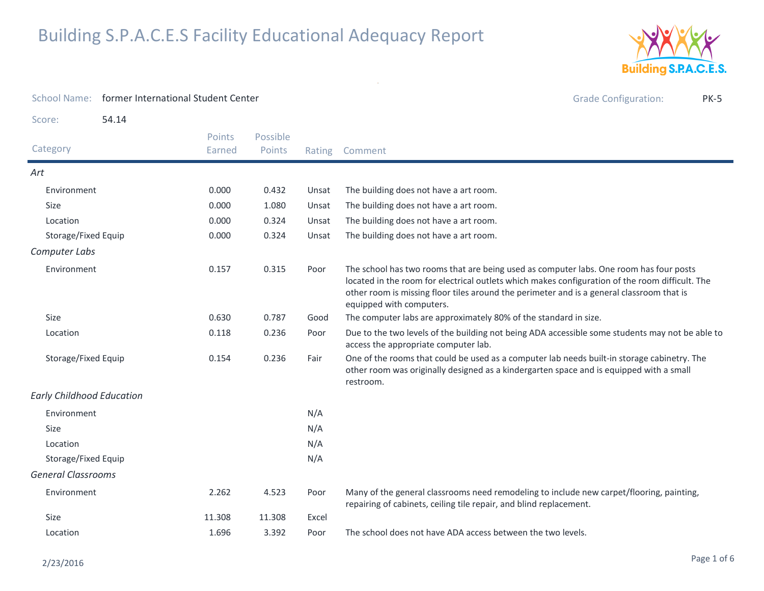

| <b>School Name:</b>              | former International Student Center |                  |                    |        | <b>Grade Configuration:</b><br><b>PK-5</b>                                                                                                                                                                                                                                                                         |
|----------------------------------|-------------------------------------|------------------|--------------------|--------|--------------------------------------------------------------------------------------------------------------------------------------------------------------------------------------------------------------------------------------------------------------------------------------------------------------------|
| Score:                           | 54.14                               |                  |                    |        |                                                                                                                                                                                                                                                                                                                    |
| Category                         |                                     | Points<br>Earned | Possible<br>Points | Rating | Comment                                                                                                                                                                                                                                                                                                            |
| Art                              |                                     |                  |                    |        |                                                                                                                                                                                                                                                                                                                    |
| Environment                      |                                     | 0.000            | 0.432              | Unsat  | The building does not have a art room.                                                                                                                                                                                                                                                                             |
| Size                             |                                     | 0.000            | 1.080              | Unsat  | The building does not have a art room.                                                                                                                                                                                                                                                                             |
| Location                         |                                     | 0.000            | 0.324              | Unsat  | The building does not have a art room.                                                                                                                                                                                                                                                                             |
| Storage/Fixed Equip              |                                     | 0.000            | 0.324              | Unsat  | The building does not have a art room.                                                                                                                                                                                                                                                                             |
| Computer Labs                    |                                     |                  |                    |        |                                                                                                                                                                                                                                                                                                                    |
| Environment                      |                                     | 0.157            | 0.315              | Poor   | The school has two rooms that are being used as computer labs. One room has four posts<br>located in the room for electrical outlets which makes configuration of the room difficult. The<br>other room is missing floor tiles around the perimeter and is a general classroom that is<br>equipped with computers. |
| Size                             |                                     | 0.630            | 0.787              | Good   | The computer labs are approximately 80% of the standard in size.                                                                                                                                                                                                                                                   |
| Location                         |                                     | 0.118            | 0.236              | Poor   | Due to the two levels of the building not being ADA accessible some students may not be able to<br>access the appropriate computer lab.                                                                                                                                                                            |
| Storage/Fixed Equip              |                                     | 0.154            | 0.236              | Fair   | One of the rooms that could be used as a computer lab needs built-in storage cabinetry. The<br>other room was originally designed as a kindergarten space and is equipped with a small<br>restroom.                                                                                                                |
| <b>Early Childhood Education</b> |                                     |                  |                    |        |                                                                                                                                                                                                                                                                                                                    |
| Environment                      |                                     |                  |                    | N/A    |                                                                                                                                                                                                                                                                                                                    |
| <b>Size</b>                      |                                     |                  |                    | N/A    |                                                                                                                                                                                                                                                                                                                    |
| Location                         |                                     |                  |                    | N/A    |                                                                                                                                                                                                                                                                                                                    |
| Storage/Fixed Equip              |                                     |                  |                    | N/A    |                                                                                                                                                                                                                                                                                                                    |
| <b>General Classrooms</b>        |                                     |                  |                    |        |                                                                                                                                                                                                                                                                                                                    |
| Environment                      |                                     | 2.262            | 4.523              | Poor   | Many of the general classrooms need remodeling to include new carpet/flooring, painting,<br>repairing of cabinets, ceiling tile repair, and blind replacement.                                                                                                                                                     |
| Size                             |                                     | 11.308           | 11.308             | Excel  |                                                                                                                                                                                                                                                                                                                    |
| Location                         |                                     | 1.696            | 3.392              | Poor   | The school does not have ADA access between the two levels.                                                                                                                                                                                                                                                        |

 $\omega$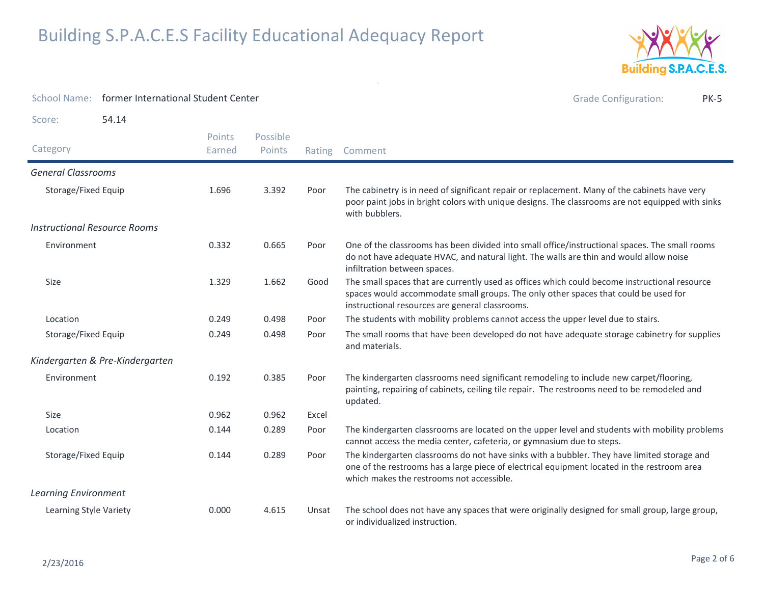

| <b>School Name:</b><br>former International Student Center |                                 |                  |                    |        | <b>Grade Configuration:</b><br><b>PK-5</b>                                                                                                                                                                                              |  |
|------------------------------------------------------------|---------------------------------|------------------|--------------------|--------|-----------------------------------------------------------------------------------------------------------------------------------------------------------------------------------------------------------------------------------------|--|
| Score:                                                     | 54.14                           |                  |                    |        |                                                                                                                                                                                                                                         |  |
| Category                                                   |                                 | Points<br>Earned | Possible<br>Points | Rating | Comment                                                                                                                                                                                                                                 |  |
| <b>General Classrooms</b>                                  |                                 |                  |                    |        |                                                                                                                                                                                                                                         |  |
| Storage/Fixed Equip                                        |                                 | 1.696            | 3.392              | Poor   | The cabinetry is in need of significant repair or replacement. Many of the cabinets have very<br>poor paint jobs in bright colors with unique designs. The classrooms are not equipped with sinks<br>with bubblers.                     |  |
| <b>Instructional Resource Rooms</b>                        |                                 |                  |                    |        |                                                                                                                                                                                                                                         |  |
| Environment                                                |                                 | 0.332            | 0.665              | Poor   | One of the classrooms has been divided into small office/instructional spaces. The small rooms<br>do not have adequate HVAC, and natural light. The walls are thin and would allow noise<br>infiltration between spaces.                |  |
| Size                                                       |                                 | 1.329            | 1.662              | Good   | The small spaces that are currently used as offices which could become instructional resource<br>spaces would accommodate small groups. The only other spaces that could be used for<br>instructional resources are general classrooms. |  |
| Location                                                   |                                 | 0.249            | 0.498              | Poor   | The students with mobility problems cannot access the upper level due to stairs.                                                                                                                                                        |  |
| Storage/Fixed Equip                                        |                                 | 0.249            | 0.498              | Poor   | The small rooms that have been developed do not have adequate storage cabinetry for supplies<br>and materials.                                                                                                                          |  |
|                                                            | Kindergarten & Pre-Kindergarten |                  |                    |        |                                                                                                                                                                                                                                         |  |
| Environment                                                |                                 | 0.192            | 0.385              | Poor   | The kindergarten classrooms need significant remodeling to include new carpet/flooring,<br>painting, repairing of cabinets, ceiling tile repair. The restrooms need to be remodeled and<br>updated.                                     |  |
| Size                                                       |                                 | 0.962            | 0.962              | Excel  |                                                                                                                                                                                                                                         |  |
| Location                                                   |                                 | 0.144            | 0.289              | Poor   | The kindergarten classrooms are located on the upper level and students with mobility problems<br>cannot access the media center, cafeteria, or gymnasium due to steps.                                                                 |  |
| Storage/Fixed Equip                                        |                                 | 0.144            | 0.289              | Poor   | The kindergarten classrooms do not have sinks with a bubbler. They have limited storage and<br>one of the restrooms has a large piece of electrical equipment located in the restroom area<br>which makes the restrooms not accessible. |  |
| <b>Learning Environment</b>                                |                                 |                  |                    |        |                                                                                                                                                                                                                                         |  |
| Learning Style Variety                                     |                                 | 0.000            | 4.615              | Unsat  | The school does not have any spaces that were originally designed for small group, large group,<br>or individualized instruction.                                                                                                       |  |

 $\mathcal{A}(\mathcal{A})$  and  $\mathcal{A}(\mathcal{A})$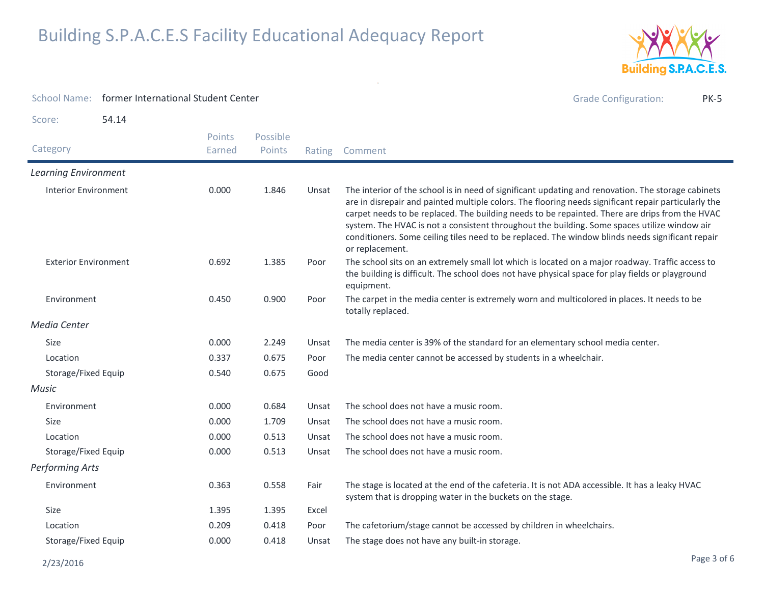

| <b>School Name:</b>         | former International Student Center |                  |                    |        | <b>Grade Configuration:</b><br>PK-5                                                                                                                                                                                                                                                                                                                                                                                                                                                                                                 |
|-----------------------------|-------------------------------------|------------------|--------------------|--------|-------------------------------------------------------------------------------------------------------------------------------------------------------------------------------------------------------------------------------------------------------------------------------------------------------------------------------------------------------------------------------------------------------------------------------------------------------------------------------------------------------------------------------------|
| Score:                      | 54.14                               |                  |                    |        |                                                                                                                                                                                                                                                                                                                                                                                                                                                                                                                                     |
| Category                    |                                     | Points<br>Earned | Possible<br>Points | Rating | Comment                                                                                                                                                                                                                                                                                                                                                                                                                                                                                                                             |
| <b>Learning Environment</b> |                                     |                  |                    |        |                                                                                                                                                                                                                                                                                                                                                                                                                                                                                                                                     |
| <b>Interior Environment</b> |                                     | 0.000            | 1.846              | Unsat  | The interior of the school is in need of significant updating and renovation. The storage cabinets<br>are in disrepair and painted multiple colors. The flooring needs significant repair particularly the<br>carpet needs to be replaced. The building needs to be repainted. There are drips from the HVAC<br>system. The HVAC is not a consistent throughout the building. Some spaces utilize window air<br>conditioners. Some ceiling tiles need to be replaced. The window blinds needs significant repair<br>or replacement. |
| <b>Exterior Environment</b> |                                     | 0.692            | 1.385              | Poor   | The school sits on an extremely small lot which is located on a major roadway. Traffic access to<br>the building is difficult. The school does not have physical space for play fields or playground<br>equipment.                                                                                                                                                                                                                                                                                                                  |
| Environment                 |                                     | 0.450            | 0.900              | Poor   | The carpet in the media center is extremely worn and multicolored in places. It needs to be<br>totally replaced.                                                                                                                                                                                                                                                                                                                                                                                                                    |
| <b>Media Center</b>         |                                     |                  |                    |        |                                                                                                                                                                                                                                                                                                                                                                                                                                                                                                                                     |
| <b>Size</b>                 |                                     | 0.000            | 2.249              | Unsat  | The media center is 39% of the standard for an elementary school media center.                                                                                                                                                                                                                                                                                                                                                                                                                                                      |
| Location                    |                                     | 0.337            | 0.675              | Poor   | The media center cannot be accessed by students in a wheelchair.                                                                                                                                                                                                                                                                                                                                                                                                                                                                    |
| Storage/Fixed Equip         |                                     | 0.540            | 0.675              | Good   |                                                                                                                                                                                                                                                                                                                                                                                                                                                                                                                                     |
| Music                       |                                     |                  |                    |        |                                                                                                                                                                                                                                                                                                                                                                                                                                                                                                                                     |
| Environment                 |                                     | 0.000            | 0.684              | Unsat  | The school does not have a music room.                                                                                                                                                                                                                                                                                                                                                                                                                                                                                              |
| Size                        |                                     | 0.000            | 1.709              | Unsat  | The school does not have a music room.                                                                                                                                                                                                                                                                                                                                                                                                                                                                                              |
| Location                    |                                     | 0.000            | 0.513              | Unsat  | The school does not have a music room.                                                                                                                                                                                                                                                                                                                                                                                                                                                                                              |
| Storage/Fixed Equip         |                                     | 0.000            | 0.513              | Unsat  | The school does not have a music room.                                                                                                                                                                                                                                                                                                                                                                                                                                                                                              |
| <b>Performing Arts</b>      |                                     |                  |                    |        |                                                                                                                                                                                                                                                                                                                                                                                                                                                                                                                                     |
| Environment                 |                                     | 0.363            | 0.558              | Fair   | The stage is located at the end of the cafeteria. It is not ADA accessible. It has a leaky HVAC<br>system that is dropping water in the buckets on the stage.                                                                                                                                                                                                                                                                                                                                                                       |
| <b>Size</b>                 |                                     | 1.395            | 1.395              | Excel  |                                                                                                                                                                                                                                                                                                                                                                                                                                                                                                                                     |
| Location                    |                                     | 0.209            | 0.418              | Poor   | The cafetorium/stage cannot be accessed by children in wheelchairs.                                                                                                                                                                                                                                                                                                                                                                                                                                                                 |
| Storage/Fixed Equip         |                                     | 0.000            | 0.418              | Unsat  | The stage does not have any built-in storage.                                                                                                                                                                                                                                                                                                                                                                                                                                                                                       |

 $\sim$ 

#### 2/23/2016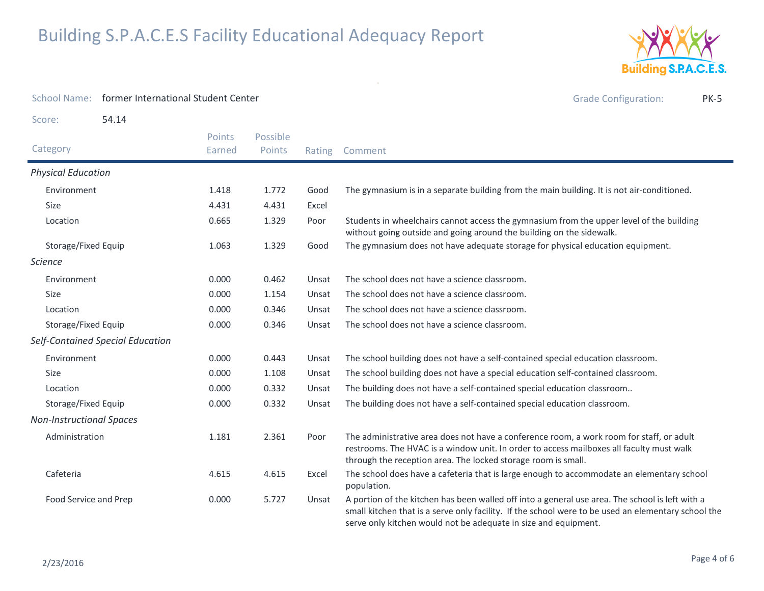

| <b>School Name:</b>             | former International Student Center |                  |                    |        | <b>Grade Configuration:</b><br><b>PK-5</b>                                                                                                                                                                                                                                |
|---------------------------------|-------------------------------------|------------------|--------------------|--------|---------------------------------------------------------------------------------------------------------------------------------------------------------------------------------------------------------------------------------------------------------------------------|
| Score:                          | 54.14                               |                  |                    |        |                                                                                                                                                                                                                                                                           |
| Category                        |                                     | Points<br>Earned | Possible<br>Points | Rating | Comment                                                                                                                                                                                                                                                                   |
| <b>Physical Education</b>       |                                     |                  |                    |        |                                                                                                                                                                                                                                                                           |
| Environment                     |                                     | 1.418            | 1.772              | Good   | The gymnasium is in a separate building from the main building. It is not air-conditioned.                                                                                                                                                                                |
| Size                            |                                     | 4.431            | 4.431              | Excel  |                                                                                                                                                                                                                                                                           |
| Location                        |                                     | 0.665            | 1.329              | Poor   | Students in wheelchairs cannot access the gymnasium from the upper level of the building<br>without going outside and going around the building on the sidewalk.                                                                                                          |
| Storage/Fixed Equip             |                                     | 1.063            | 1.329              | Good   | The gymnasium does not have adequate storage for physical education equipment.                                                                                                                                                                                            |
| <b>Science</b>                  |                                     |                  |                    |        |                                                                                                                                                                                                                                                                           |
| Environment                     |                                     | 0.000            | 0.462              | Unsat  | The school does not have a science classroom.                                                                                                                                                                                                                             |
| Size                            |                                     | 0.000            | 1.154              | Unsat  | The school does not have a science classroom.                                                                                                                                                                                                                             |
| Location                        |                                     | 0.000            | 0.346              | Unsat  | The school does not have a science classroom.                                                                                                                                                                                                                             |
| Storage/Fixed Equip             |                                     | 0.000            | 0.346              | Unsat  | The school does not have a science classroom.                                                                                                                                                                                                                             |
|                                 | Self-Contained Special Education    |                  |                    |        |                                                                                                                                                                                                                                                                           |
| Environment                     |                                     | 0.000            | 0.443              | Unsat  | The school building does not have a self-contained special education classroom.                                                                                                                                                                                           |
| <b>Size</b>                     |                                     | 0.000            | 1.108              | Unsat  | The school building does not have a special education self-contained classroom.                                                                                                                                                                                           |
| Location                        |                                     | 0.000            | 0.332              | Unsat  | The building does not have a self-contained special education classroom                                                                                                                                                                                                   |
| Storage/Fixed Equip             |                                     | 0.000            | 0.332              | Unsat  | The building does not have a self-contained special education classroom.                                                                                                                                                                                                  |
| <b>Non-Instructional Spaces</b> |                                     |                  |                    |        |                                                                                                                                                                                                                                                                           |
| Administration                  |                                     | 1.181            | 2.361              | Poor   | The administrative area does not have a conference room, a work room for staff, or adult<br>restrooms. The HVAC is a window unit. In order to access mailboxes all faculty must walk<br>through the reception area. The locked storage room is small.                     |
| Cafeteria                       |                                     | 4.615            | 4.615              | Excel  | The school does have a cafeteria that is large enough to accommodate an elementary school<br>population.                                                                                                                                                                  |
| Food Service and Prep           |                                     | 0.000            | 5.727              | Unsat  | A portion of the kitchen has been walled off into a general use area. The school is left with a<br>small kitchen that is a serve only facility. If the school were to be used an elementary school the<br>serve only kitchen would not be adequate in size and equipment. |

the contract of the contract of the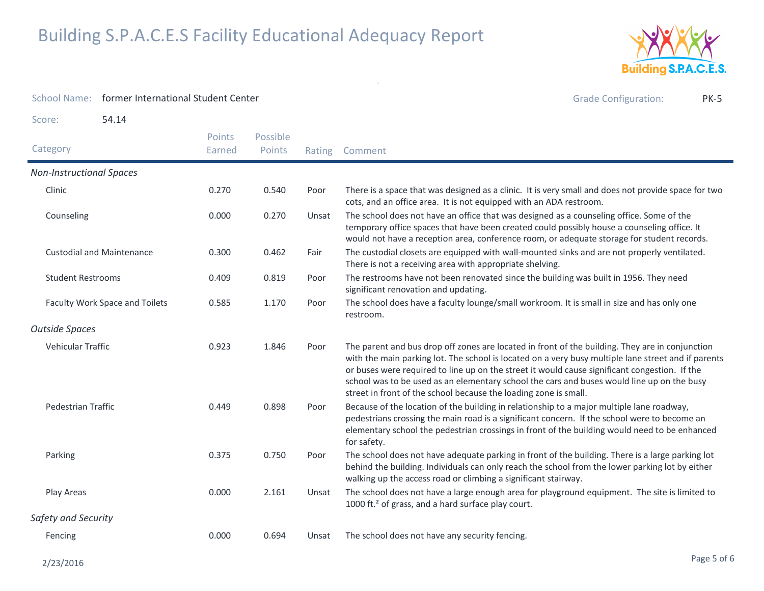

| <b>School Name:</b>             | former International Student Center |                  |                    |                                                                                                                                                                 | <b>Grade Configuration:</b><br><b>PK-5</b>                                                                                                                                                                                                                                                                                                                                                                                                                                |
|---------------------------------|-------------------------------------|------------------|--------------------|-----------------------------------------------------------------------------------------------------------------------------------------------------------------|---------------------------------------------------------------------------------------------------------------------------------------------------------------------------------------------------------------------------------------------------------------------------------------------------------------------------------------------------------------------------------------------------------------------------------------------------------------------------|
| Score:                          | 54.14                               |                  |                    |                                                                                                                                                                 |                                                                                                                                                                                                                                                                                                                                                                                                                                                                           |
| Category                        |                                     | Points<br>Earned | Possible<br>Points | Rating                                                                                                                                                          | Comment                                                                                                                                                                                                                                                                                                                                                                                                                                                                   |
| <b>Non-Instructional Spaces</b> |                                     |                  |                    |                                                                                                                                                                 |                                                                                                                                                                                                                                                                                                                                                                                                                                                                           |
| Clinic                          |                                     | 0.270            | 0.540              | Poor                                                                                                                                                            | There is a space that was designed as a clinic. It is very small and does not provide space for two<br>cots, and an office area. It is not equipped with an ADA restroom.                                                                                                                                                                                                                                                                                                 |
| Counseling                      |                                     | 0.000            | 0.270              | Unsat                                                                                                                                                           | The school does not have an office that was designed as a counseling office. Some of the<br>temporary office spaces that have been created could possibly house a counseling office. It<br>would not have a reception area, conference room, or adequate storage for student records.                                                                                                                                                                                     |
|                                 | <b>Custodial and Maintenance</b>    | 0.300            | 0.462              | Fair                                                                                                                                                            | The custodial closets are equipped with wall-mounted sinks and are not properly ventilated.<br>There is not a receiving area with appropriate shelving.                                                                                                                                                                                                                                                                                                                   |
| <b>Student Restrooms</b>        |                                     | 0.409            | 0.819              | Poor                                                                                                                                                            | The restrooms have not been renovated since the building was built in 1956. They need<br>significant renovation and updating.                                                                                                                                                                                                                                                                                                                                             |
| Faculty Work Space and Toilets  |                                     | 0.585            | 1.170              | Poor                                                                                                                                                            | The school does have a faculty lounge/small workroom. It is small in size and has only one<br>restroom.                                                                                                                                                                                                                                                                                                                                                                   |
| <b>Outside Spaces</b>           |                                     |                  |                    |                                                                                                                                                                 |                                                                                                                                                                                                                                                                                                                                                                                                                                                                           |
| Vehicular Traffic               |                                     | 0.923            | 1.846              | Poor                                                                                                                                                            | The parent and bus drop off zones are located in front of the building. They are in conjunction<br>with the main parking lot. The school is located on a very busy multiple lane street and if parents<br>or buses were required to line up on the street it would cause significant congestion. If the<br>school was to be used as an elementary school the cars and buses would line up on the busy<br>street in front of the school because the loading zone is small. |
| <b>Pedestrian Traffic</b>       |                                     | 0.449            | 0.898              | Poor                                                                                                                                                            | Because of the location of the building in relationship to a major multiple lane roadway,<br>pedestrians crossing the main road is a significant concern. If the school were to become an<br>elementary school the pedestrian crossings in front of the building would need to be enhanced<br>for safety.                                                                                                                                                                 |
| Parking                         |                                     | 0.375            | 0.750              | Poor                                                                                                                                                            | The school does not have adequate parking in front of the building. There is a large parking lot<br>behind the building. Individuals can only reach the school from the lower parking lot by either<br>walking up the access road or climbing a significant stairway.                                                                                                                                                                                                     |
| Play Areas<br>0.000             |                                     | 2.161            | Unsat              | The school does not have a large enough area for playground equipment. The site is limited to<br>1000 ft. <sup>2</sup> of grass, and a hard surface play court. |                                                                                                                                                                                                                                                                                                                                                                                                                                                                           |
| Safety and Security             |                                     |                  |                    |                                                                                                                                                                 |                                                                                                                                                                                                                                                                                                                                                                                                                                                                           |
| Fencing                         |                                     | 0.000            | 0.694              | Unsat                                                                                                                                                           | The school does not have any security fencing.                                                                                                                                                                                                                                                                                                                                                                                                                            |

 $\sim$ 

#### 2/23/2016